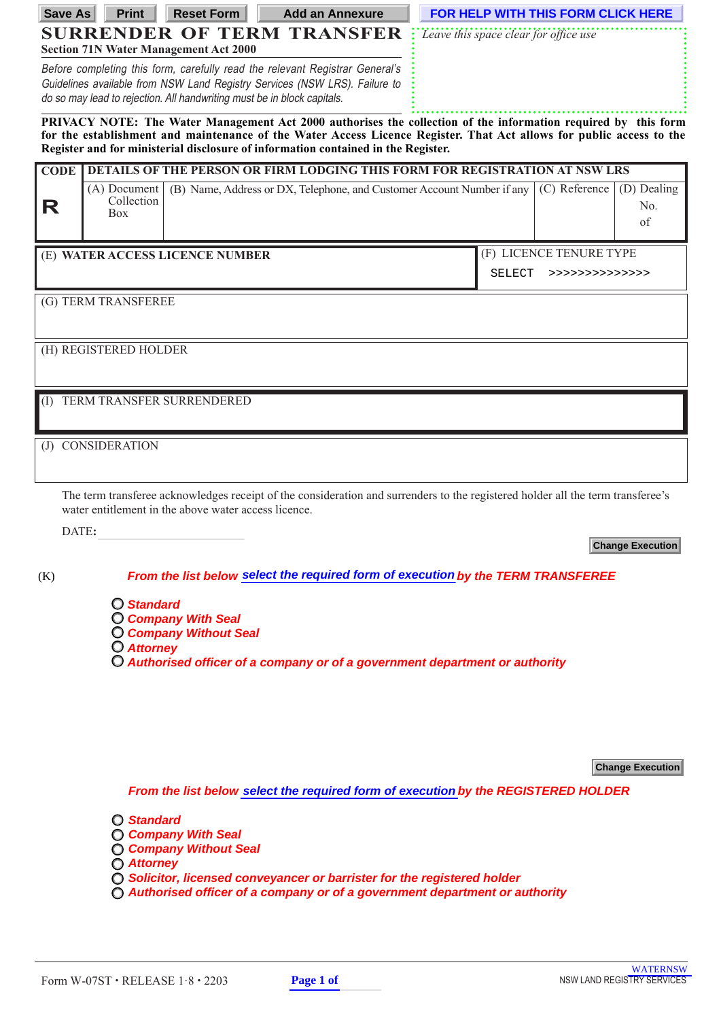| <b>SURRENDER OF TERM TRANSFER</b><br>Leave this space clear for office use<br><b>Section 71N Water Management Act 2000</b><br>Before completing this form, carefully read the relevant Registrar General's<br>Guidelines available from NSW Land Registry Services (NSW LRS). Failure to<br>do so may lead to rejection. All handwriting must be in block capitals.<br>PRIVACY NOTE: The Water Management Act 2000 authorises the collection of the information required by this form<br>for the establishment and maintenance of the Water Access Licence Register. That Act allows for public access to the<br>Register and for ministerial disclosure of information contained in the Register.<br>DETAILS OF THE PERSON OR FIRM LODGING THIS FORM FOR REGISTRATION AT NSW LRS<br><b>CODE</b><br>(B) Name, Address or DX, Telephone, and Customer Account Number if any<br>(D) Dealing<br>(A) Document<br>(C) Reference<br>Collection<br>R<br>No.<br><b>Box</b><br>of<br>(F) LICENCE TENURE TYPE<br>(E) WATER ACCESS LICENCE NUMBER<br>SELECT<br>>>>>>>>>>>>>>>>><br>(G) TERM TRANSFEREE<br>(H) REGISTERED HOLDER<br>TERM TRANSFER SURRENDERED<br>(1)<br>CONSIDERATION<br>(J) |
|----------------------------------------------------------------------------------------------------------------------------------------------------------------------------------------------------------------------------------------------------------------------------------------------------------------------------------------------------------------------------------------------------------------------------------------------------------------------------------------------------------------------------------------------------------------------------------------------------------------------------------------------------------------------------------------------------------------------------------------------------------------------------------------------------------------------------------------------------------------------------------------------------------------------------------------------------------------------------------------------------------------------------------------------------------------------------------------------------------------------------------------------------------------------------------|
|                                                                                                                                                                                                                                                                                                                                                                                                                                                                                                                                                                                                                                                                                                                                                                                                                                                                                                                                                                                                                                                                                                                                                                                  |
|                                                                                                                                                                                                                                                                                                                                                                                                                                                                                                                                                                                                                                                                                                                                                                                                                                                                                                                                                                                                                                                                                                                                                                                  |
|                                                                                                                                                                                                                                                                                                                                                                                                                                                                                                                                                                                                                                                                                                                                                                                                                                                                                                                                                                                                                                                                                                                                                                                  |
|                                                                                                                                                                                                                                                                                                                                                                                                                                                                                                                                                                                                                                                                                                                                                                                                                                                                                                                                                                                                                                                                                                                                                                                  |
|                                                                                                                                                                                                                                                                                                                                                                                                                                                                                                                                                                                                                                                                                                                                                                                                                                                                                                                                                                                                                                                                                                                                                                                  |
|                                                                                                                                                                                                                                                                                                                                                                                                                                                                                                                                                                                                                                                                                                                                                                                                                                                                                                                                                                                                                                                                                                                                                                                  |
|                                                                                                                                                                                                                                                                                                                                                                                                                                                                                                                                                                                                                                                                                                                                                                                                                                                                                                                                                                                                                                                                                                                                                                                  |
|                                                                                                                                                                                                                                                                                                                                                                                                                                                                                                                                                                                                                                                                                                                                                                                                                                                                                                                                                                                                                                                                                                                                                                                  |
|                                                                                                                                                                                                                                                                                                                                                                                                                                                                                                                                                                                                                                                                                                                                                                                                                                                                                                                                                                                                                                                                                                                                                                                  |
|                                                                                                                                                                                                                                                                                                                                                                                                                                                                                                                                                                                                                                                                                                                                                                                                                                                                                                                                                                                                                                                                                                                                                                                  |
|                                                                                                                                                                                                                                                                                                                                                                                                                                                                                                                                                                                                                                                                                                                                                                                                                                                                                                                                                                                                                                                                                                                                                                                  |
|                                                                                                                                                                                                                                                                                                                                                                                                                                                                                                                                                                                                                                                                                                                                                                                                                                                                                                                                                                                                                                                                                                                                                                                  |
|                                                                                                                                                                                                                                                                                                                                                                                                                                                                                                                                                                                                                                                                                                                                                                                                                                                                                                                                                                                                                                                                                                                                                                                  |
|                                                                                                                                                                                                                                                                                                                                                                                                                                                                                                                                                                                                                                                                                                                                                                                                                                                                                                                                                                                                                                                                                                                                                                                  |
|                                                                                                                                                                                                                                                                                                                                                                                                                                                                                                                                                                                                                                                                                                                                                                                                                                                                                                                                                                                                                                                                                                                                                                                  |
|                                                                                                                                                                                                                                                                                                                                                                                                                                                                                                                                                                                                                                                                                                                                                                                                                                                                                                                                                                                                                                                                                                                                                                                  |
|                                                                                                                                                                                                                                                                                                                                                                                                                                                                                                                                                                                                                                                                                                                                                                                                                                                                                                                                                                                                                                                                                                                                                                                  |
|                                                                                                                                                                                                                                                                                                                                                                                                                                                                                                                                                                                                                                                                                                                                                                                                                                                                                                                                                                                                                                                                                                                                                                                  |
|                                                                                                                                                                                                                                                                                                                                                                                                                                                                                                                                                                                                                                                                                                                                                                                                                                                                                                                                                                                                                                                                                                                                                                                  |
| The term transferee acknowledges receipt of the consideration and surrenders to the registered holder all the term transferee's<br>water entitlement in the above water access licence.                                                                                                                                                                                                                                                                                                                                                                                                                                                                                                                                                                                                                                                                                                                                                                                                                                                                                                                                                                                          |
| DATE:                                                                                                                                                                                                                                                                                                                                                                                                                                                                                                                                                                                                                                                                                                                                                                                                                                                                                                                                                                                                                                                                                                                                                                            |
| <b>Change Execution</b>                                                                                                                                                                                                                                                                                                                                                                                                                                                                                                                                                                                                                                                                                                                                                                                                                                                                                                                                                                                                                                                                                                                                                          |
| From the list below select the required form of execution by the TERM TRANSFEREE<br>(K)                                                                                                                                                                                                                                                                                                                                                                                                                                                                                                                                                                                                                                                                                                                                                                                                                                                                                                                                                                                                                                                                                          |
| <b>O</b> Standard                                                                                                                                                                                                                                                                                                                                                                                                                                                                                                                                                                                                                                                                                                                                                                                                                                                                                                                                                                                                                                                                                                                                                                |
| <b>C</b> Company With Seal                                                                                                                                                                                                                                                                                                                                                                                                                                                                                                                                                                                                                                                                                                                                                                                                                                                                                                                                                                                                                                                                                                                                                       |
| <b>C</b> Company Without Seal<br>O Attorney                                                                                                                                                                                                                                                                                                                                                                                                                                                                                                                                                                                                                                                                                                                                                                                                                                                                                                                                                                                                                                                                                                                                      |
| O Authorised officer of a company or of a government department or authority                                                                                                                                                                                                                                                                                                                                                                                                                                                                                                                                                                                                                                                                                                                                                                                                                                                                                                                                                                                                                                                                                                     |
|                                                                                                                                                                                                                                                                                                                                                                                                                                                                                                                                                                                                                                                                                                                                                                                                                                                                                                                                                                                                                                                                                                                                                                                  |
|                                                                                                                                                                                                                                                                                                                                                                                                                                                                                                                                                                                                                                                                                                                                                                                                                                                                                                                                                                                                                                                                                                                                                                                  |
|                                                                                                                                                                                                                                                                                                                                                                                                                                                                                                                                                                                                                                                                                                                                                                                                                                                                                                                                                                                                                                                                                                                                                                                  |
| <b>Change Execution</b>                                                                                                                                                                                                                                                                                                                                                                                                                                                                                                                                                                                                                                                                                                                                                                                                                                                                                                                                                                                                                                                                                                                                                          |
|                                                                                                                                                                                                                                                                                                                                                                                                                                                                                                                                                                                                                                                                                                                                                                                                                                                                                                                                                                                                                                                                                                                                                                                  |
| From the list below select the required form of execution by the REGISTERED HOLDER                                                                                                                                                                                                                                                                                                                                                                                                                                                                                                                                                                                                                                                                                                                                                                                                                                                                                                                                                                                                                                                                                               |
| <b>O</b> Standard<br><b>C Company With Seal</b>                                                                                                                                                                                                                                                                                                                                                                                                                                                                                                                                                                                                                                                                                                                                                                                                                                                                                                                                                                                                                                                                                                                                  |
| <b>C Company Without Seal</b>                                                                                                                                                                                                                                                                                                                                                                                                                                                                                                                                                                                                                                                                                                                                                                                                                                                                                                                                                                                                                                                                                                                                                    |
| <b>O</b> Attorney<br>◯ Solicitor, licensed conveyancer or barrister for the registered holder                                                                                                                                                                                                                                                                                                                                                                                                                                                                                                                                                                                                                                                                                                                                                                                                                                                                                                                                                                                                                                                                                    |
| $\bigcirc$ Authorised officer of a company or of a government department or authority                                                                                                                                                                                                                                                                                                                                                                                                                                                                                                                                                                                                                                                                                                                                                                                                                                                                                                                                                                                                                                                                                            |
|                                                                                                                                                                                                                                                                                                                                                                                                                                                                                                                                                                                                                                                                                                                                                                                                                                                                                                                                                                                                                                                                                                                                                                                  |
|                                                                                                                                                                                                                                                                                                                                                                                                                                                                                                                                                                                                                                                                                                                                                                                                                                                                                                                                                                                                                                                                                                                                                                                  |
| <b>WATERNSW</b><br><b>NSW LAND REGISTRY SERVICES</b><br>Page 1 of<br>Form W-07ST · RELEASE 1.8 · 2203                                                                                                                                                                                                                                                                                                                                                                                                                                                                                                                                                                                                                                                                                                                                                                                                                                                                                                                                                                                                                                                                            |